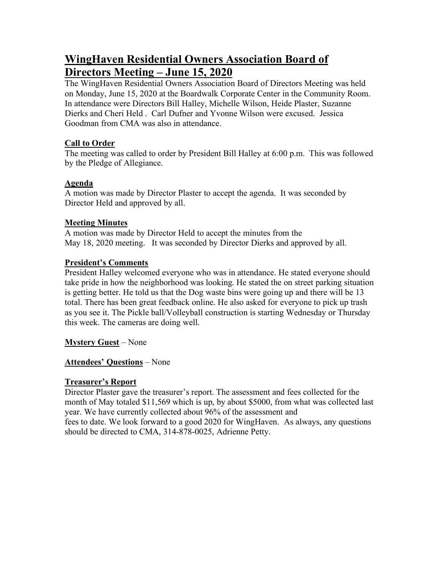# **WingHaven Residential Owners Association Board of Directors Meeting – June 15, 2020**

The WingHaven Residential Owners Association Board of Directors Meeting was held on Monday, June 15, 2020 at the Boardwalk Corporate Center in the Community Room. In attendance were Directors Bill Halley, Michelle Wilson, Heide Plaster, Suzanne Dierks and Cheri Held . Carl Dufner and Yvonne Wilson were excused. Jessica Goodman from CMA was also in attendance.

## **Call to Order**

The meeting was called to order by President Bill Halley at 6:00 p.m. This was followed by the Pledge of Allegiance.

## **Agenda**

A motion was made by Director Plaster to accept the agenda. It was seconded by Director Held and approved by all.

# **Meeting Minutes**

A motion was made by Director Held to accept the minutes from the May 18, 2020 meeting. It was seconded by Director Dierks and approved by all.

## **President's Comments**

President Halley welcomed everyone who was in attendance. He stated everyone should take pride in how the neighborhood was looking. He stated the on street parking situation is getting better. He told us that the Dog waste bins were going up and there will be 13 total. There has been great feedback online. He also asked for everyone to pick up trash as you see it. The Pickle ball/Volleyball construction is starting Wednesday or Thursday this week. The cameras are doing well.

**Mystery Guest** – None

# **Attendees' Questions** – None

# **Treasurer's Report**

Director Plaster gave the treasurer's report. The assessment and fees collected for the month of May totaled \$11,569 which is up, by about \$5000, from what was collected last year. We have currently collected about 96% of the assessment and fees to date. We look forward to a good 2020 for WingHaven. As always, any questions

should be directed to CMA, 314-878-0025, Adrienne Petty.